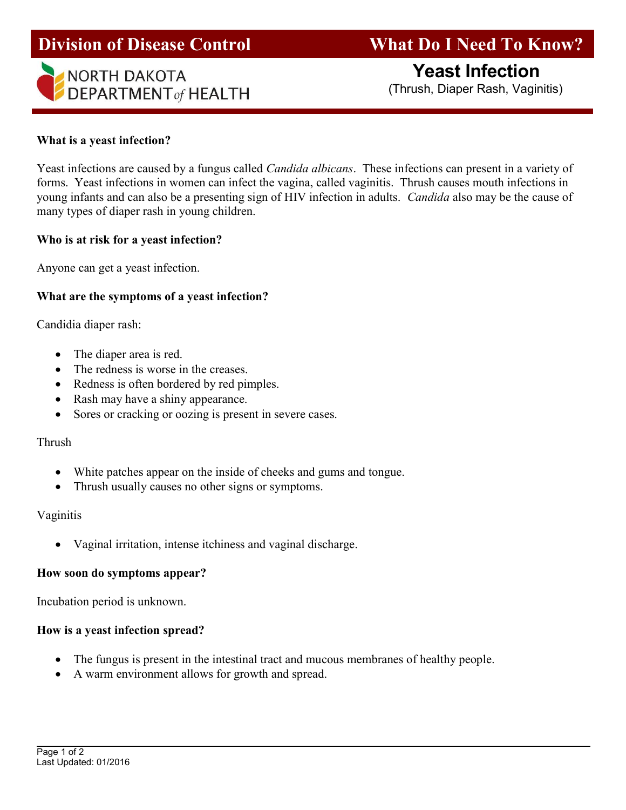

# Division of Disease Control What Do I Need To Know?

#### What is a yeast infection?

Yeast infections are caused by a fungus called *Candida albicans*. These infections can present in a variety of forms. Yeast infections in women can infect the vagina, called vaginitis. Thrush causes mouth infections in young infants and can also be a presenting sign of HIV infection in adults. Candida also may be the cause of many types of diaper rash in young children.

#### Who is at risk for a yeast infection?

Anyone can get a yeast infection.

# What are the symptoms of a yeast infection?

Candidia diaper rash:

- The diaper area is red.
- The redness is worse in the creases.
- Redness is often bordered by red pimples.
- Rash may have a shiny appearance.
- Sores or cracking or oozing is present in severe cases.

#### Thrush

- White patches appear on the inside of cheeks and gums and tongue.
- Thrush usually causes no other signs or symptoms.

# Vaginitis

Vaginal irritation, intense itchiness and vaginal discharge.

# How soon do symptoms appear?

Incubation period is unknown.

# How is a yeast infection spread?

- The fungus is present in the intestinal tract and mucous membranes of healthy people.
- A warm environment allows for growth and spread.